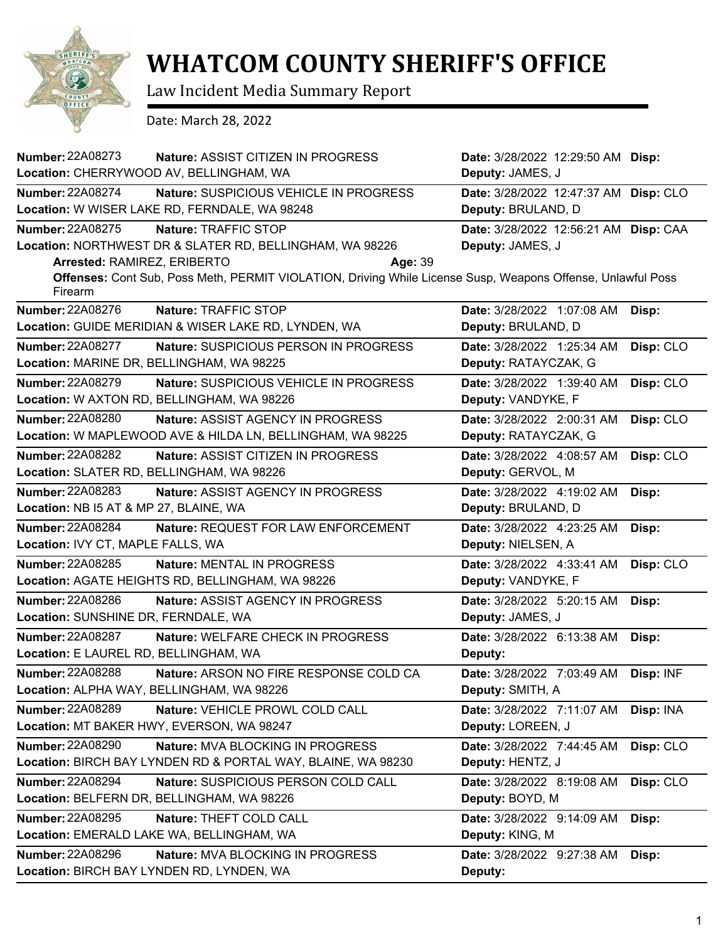

## **WHATCOM COUNTY SHERIFF'S OFFICE**

Law Incident Media Summary Report

Date: March 28, 2022

| <b>Number: 22A08273</b><br>Nature: ASSIST CITIZEN IN PROGRESS<br>Location: CHERRYWOOD AV, BELLINGHAM, WA                                                                                                                                                                 | Date: 3/28/2022 12:29:50 AM Disp:<br>Deputy: JAMES, J       |           |
|--------------------------------------------------------------------------------------------------------------------------------------------------------------------------------------------------------------------------------------------------------------------------|-------------------------------------------------------------|-----------|
| <b>Number: 22A08274</b><br>Nature: SUSPICIOUS VEHICLE IN PROGRESS<br>Location: W WISER LAKE RD, FERNDALE, WA 98248                                                                                                                                                       | Date: 3/28/2022 12:47:37 AM Disp: CLO<br>Deputy: BRULAND, D |           |
| Number: 22A08275<br>Nature: TRAFFIC STOP<br>Location: NORTHWEST DR & SLATER RD, BELLINGHAM, WA 98226<br>Arrested: RAMIREZ, ERIBERTO<br>Age: 39<br>Offenses: Cont Sub, Poss Meth, PERMIT VIOLATION, Driving While License Susp, Weapons Offense, Unlawful Poss<br>Firearm | Date: 3/28/2022 12:56:21 AM Disp: CAA<br>Deputy: JAMES, J   |           |
| Number: 22A08276<br>Nature: TRAFFIC STOP<br>Location: GUIDE MERIDIAN & WISER LAKE RD, LYNDEN, WA                                                                                                                                                                         | Date: 3/28/2022 1:07:08 AM<br>Deputy: BRULAND, D            | Disp:     |
| <b>Number: 22A08277</b><br><b>Nature: SUSPICIOUS PERSON IN PROGRESS</b><br>Location: MARINE DR, BELLINGHAM, WA 98225                                                                                                                                                     | Date: 3/28/2022 1:25:34 AM<br>Deputy: RATAYCZAK, G          | Disp: CLO |
| <b>Number: 22A08279</b><br>Nature: SUSPICIOUS VEHICLE IN PROGRESS<br>Location: W AXTON RD, BELLINGHAM, WA 98226                                                                                                                                                          | Date: 3/28/2022 1:39:40 AM<br>Deputy: VANDYKE, F            | Disp: CLO |
| <b>Number: 22A08280</b><br><b>Nature: ASSIST AGENCY IN PROGRESS</b><br>Location: W MAPLEWOOD AVE & HILDA LN, BELLINGHAM, WA 98225                                                                                                                                        | Date: 3/28/2022 2:00:31 AM<br>Deputy: RATAYCZAK, G          | Disp: CLO |
| <b>Number: 22A08282</b><br>Nature: ASSIST CITIZEN IN PROGRESS<br>Location: SLATER RD, BELLINGHAM, WA 98226                                                                                                                                                               | Date: 3/28/2022 4:08:57 AM<br>Deputy: GERVOL, M             | Disp: CLO |
| Number: 22A08283<br>Nature: ASSIST AGENCY IN PROGRESS<br>Location: NB I5 AT & MP 27, BLAINE, WA                                                                                                                                                                          | Date: 3/28/2022 4:19:02 AM<br>Deputy: BRULAND, D            | Disp:     |
| <b>Number: 22A08284</b><br>Nature: REQUEST FOR LAW ENFORCEMENT<br>Location: IVY CT, MAPLE FALLS, WA                                                                                                                                                                      | Date: 3/28/2022 4:23:25 AM<br>Deputy: NIELSEN, A            | Disp:     |
| <b>Number: 22A08285</b><br>Nature: MENTAL IN PROGRESS<br>Location: AGATE HEIGHTS RD, BELLINGHAM, WA 98226                                                                                                                                                                | Date: 3/28/2022 4:33:41 AM<br>Deputy: VANDYKE, F            | Disp: CLO |
| <b>Number: 22A08286</b><br>Nature: ASSIST AGENCY IN PROGRESS<br>Location: SUNSHINE DR, FERNDALE, WA                                                                                                                                                                      | Date: 3/28/2022 5:20:15 AM<br>Deputy: JAMES, J              | Disp:     |
| <b>Number: 22A08287</b><br>Nature: WELFARE CHECK IN PROGRESS<br>Location: E LAUREL RD, BELLINGHAM, WA                                                                                                                                                                    | Date: 3/28/2022 6:13:38 AM<br>Deputy:                       | Disp:     |
| <b>Number: 22A08288</b><br>Nature: ARSON NO FIRE RESPONSE COLD CA<br>Location: ALPHA WAY, BELLINGHAM, WA 98226                                                                                                                                                           | Date: 3/28/2022 7:03:49 AM<br>Deputy: SMITH, A              | Disp: INF |
| Number: 22A08289<br>Nature: VEHICLE PROWL COLD CALL<br>Location: MT BAKER HWY, EVERSON, WA 98247                                                                                                                                                                         | Date: 3/28/2022 7:11:07 AM<br>Deputy: LOREEN, J             | Disp: INA |
| <b>Number: 22A08290</b><br>Nature: MVA BLOCKING IN PROGRESS<br>Location: BIRCH BAY LYNDEN RD & PORTAL WAY, BLAINE, WA 98230                                                                                                                                              | Date: 3/28/2022 7:44:45 AM<br>Deputy: HENTZ, J              | Disp: CLO |
| <b>Number: 22A08294</b><br>Nature: SUSPICIOUS PERSON COLD CALL<br>Location: BELFERN DR, BELLINGHAM, WA 98226                                                                                                                                                             | Date: 3/28/2022 8:19:08 AM<br>Deputy: BOYD, M               | Disp: CLO |
| <b>Number: 22A08295</b><br>Nature: THEFT COLD CALL<br>Location: EMERALD LAKE WA, BELLINGHAM, WA                                                                                                                                                                          | Date: 3/28/2022 9:14:09 AM<br>Deputy: KING, M               | Disp:     |
| Number: 22A08296<br><b>Nature: MVA BLOCKING IN PROGRESS</b><br>Location: BIRCH BAY LYNDEN RD, LYNDEN, WA                                                                                                                                                                 | Date: 3/28/2022 9:27:38 AM<br>Deputy:                       | Disp:     |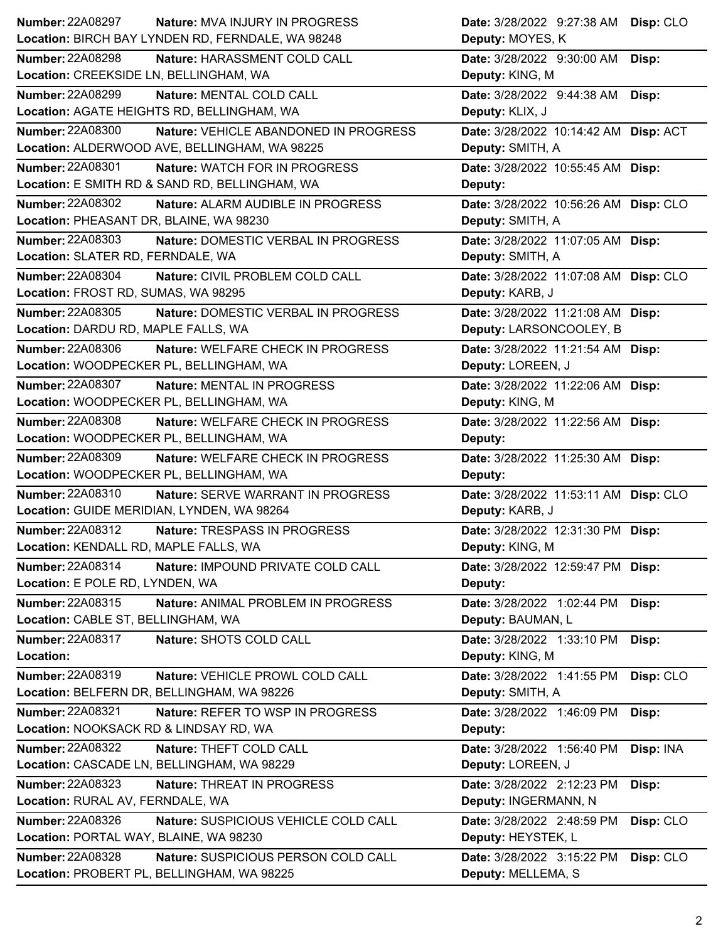| <b>Number: 22A08297</b>                                | <b>Nature: MVA INJURY IN PROGRESS</b>             | Date: 3/28/2022 9:27:38 AM Disp: CLO                     |           |
|--------------------------------------------------------|---------------------------------------------------|----------------------------------------------------------|-----------|
|                                                        | Location: BIRCH BAY LYNDEN RD, FERNDALE, WA 98248 | Deputy: MOYES, K                                         |           |
| Number: 22A08298                                       | Nature: HARASSMENT COLD CALL                      | Date: 3/28/2022 9:30:00 AM                               | Disp:     |
| Location: CREEKSIDE LN, BELLINGHAM, WA                 |                                                   | Deputy: KING, M                                          |           |
| <b>Number: 22A08299</b>                                | Nature: MENTAL COLD CALL                          | Date: 3/28/2022 9:44:38 AM Disp:                         |           |
|                                                        | Location: AGATE HEIGHTS RD, BELLINGHAM, WA        | Deputy: KLIX, J                                          |           |
| Number: 22A08300                                       | <b>Nature: VEHICLE ABANDONED IN PROGRESS</b>      | Date: 3/28/2022 10:14:42 AM Disp: ACT                    |           |
|                                                        | Location: ALDERWOOD AVE, BELLINGHAM, WA 98225     | Deputy: SMITH, A                                         |           |
| Number: 22A08301                                       | Nature: WATCH FOR IN PROGRESS                     | Date: 3/28/2022 10:55:45 AM Disp:                        |           |
|                                                        | Location: E SMITH RD & SAND RD, BELLINGHAM, WA    | Deputy:                                                  |           |
| <b>Number: 22A08302</b>                                | Nature: ALARM AUDIBLE IN PROGRESS                 | Date: 3/28/2022 10:56:26 AM Disp: CLO                    |           |
| Location: PHEASANT DR, BLAINE, WA 98230                |                                                   | Deputy: SMITH, A                                         |           |
| <b>Number: 22A08303</b>                                | Nature: DOMESTIC VERBAL IN PROGRESS               | Date: 3/28/2022 11:07:05 AM Disp:                        |           |
| Location: SLATER RD, FERNDALE, WA                      |                                                   | Deputy: SMITH, A                                         |           |
| Number: 22A08304                                       | Nature: CIVIL PROBLEM COLD CALL                   | Date: 3/28/2022 11:07:08 AM Disp: CLO                    |           |
| Location: FROST RD, SUMAS, WA 98295                    |                                                   | Deputy: KARB, J                                          |           |
| Number: 22A08305                                       | Nature: DOMESTIC VERBAL IN PROGRESS               | Date: 3/28/2022 11:21:08 AM Disp:                        |           |
| Location: DARDU RD, MAPLE FALLS, WA                    |                                                   | Deputy: LARSONCOOLEY, B                                  |           |
| Number: 22A08306                                       | Nature: WELFARE CHECK IN PROGRESS                 | Date: 3/28/2022 11:21:54 AM Disp:                        |           |
|                                                        | Location: WOODPECKER PL, BELLINGHAM, WA           | Deputy: LOREEN, J                                        |           |
| Number: 22A08307                                       | Nature: MENTAL IN PROGRESS                        | Date: 3/28/2022 11:22:06 AM Disp:                        |           |
|                                                        | Location: WOODPECKER PL, BELLINGHAM, WA           | Deputy: KING, M                                          |           |
| <b>Number: 22A08308</b>                                | Nature: WELFARE CHECK IN PROGRESS                 | Date: 3/28/2022 11:22:56 AM Disp:                        |           |
|                                                        | Location: WOODPECKER PL, BELLINGHAM, WA           | Deputy:                                                  |           |
|                                                        |                                                   |                                                          |           |
| <b>Number: 22A08309</b>                                | Nature: WELFARE CHECK IN PROGRESS                 |                                                          |           |
|                                                        | Location: WOODPECKER PL, BELLINGHAM, WA           | Date: 3/28/2022 11:25:30 AM Disp:<br>Deputy:             |           |
| Number: 22A08310                                       | Nature: SERVE WARRANT IN PROGRESS                 |                                                          |           |
|                                                        | Location: GUIDE MERIDIAN, LYNDEN, WA 98264        | Date: 3/28/2022 11:53:11 AM Disp: CLO<br>Deputy: KARB, J |           |
| Number: 22A08312                                       | Nature: TRESPASS IN PROGRESS                      |                                                          |           |
| Location: KENDALL RD, MAPLE FALLS, WA                  |                                                   | Date: 3/28/2022 12:31:30 PM Disp:<br>Deputy: KING, M     |           |
| Number: 22A08314                                       | Nature: IMPOUND PRIVATE COLD CALL                 |                                                          |           |
| Location: E POLE RD, LYNDEN, WA                        |                                                   | Date: 3/28/2022 12:59:47 PM Disp:<br>Deputy:             |           |
|                                                        |                                                   |                                                          |           |
| Number: 22A08315<br>Location: CABLE ST, BELLINGHAM, WA | Nature: ANIMAL PROBLEM IN PROGRESS                | Date: 3/28/2022 1:02:44 PM<br>Deputy: BAUMAN, L          | Disp:     |
| <b>Number: 22A08317</b>                                |                                                   |                                                          |           |
| Location:                                              | Nature: SHOTS COLD CALL                           | Date: 3/28/2022 1:33:10 PM<br>Deputy: KING, M            | Disp:     |
| Number: 22A08319                                       | Nature: VEHICLE PROWL COLD CALL                   |                                                          |           |
|                                                        | Location: BELFERN DR, BELLINGHAM, WA 98226        | Date: 3/28/2022 1:41:55 PM<br>Deputy: SMITH, A           | Disp: CLO |
| Number: 22A08321                                       | Nature: REFER TO WSP IN PROGRESS                  | Date: 3/28/2022 1:46:09 PM                               |           |
| Location: NOOKSACK RD & LINDSAY RD, WA                 |                                                   | Deputy:                                                  | Disp:     |
| <b>Number: 22A08322</b>                                | Nature: THEFT COLD CALL                           | Date: 3/28/2022 1:56:40 PM                               | Disp: INA |
|                                                        | Location: CASCADE LN, BELLINGHAM, WA 98229        | Deputy: LOREEN, J                                        |           |
| <b>Number: 22A08323</b>                                | Nature: THREAT IN PROGRESS                        | Date: 3/28/2022 2:12:23 PM                               | Disp:     |
| Location: RURAL AV, FERNDALE, WA                       |                                                   | Deputy: INGERMANN, N                                     |           |
| Number: 22A08326                                       | Nature: SUSPICIOUS VEHICLE COLD CALL              | Date: 3/28/2022 2:48:59 PM                               |           |
| Location: PORTAL WAY, BLAINE, WA 98230                 |                                                   | Deputy: HEYSTEK, L                                       | Disp: CLO |
| Number: 22A08328                                       | Nature: SUSPICIOUS PERSON COLD CALL               | Date: 3/28/2022 3:15:22 PM                               | Disp: CLO |
|                                                        | Location: PROBERT PL, BELLINGHAM, WA 98225        | Deputy: MELLEMA, S                                       |           |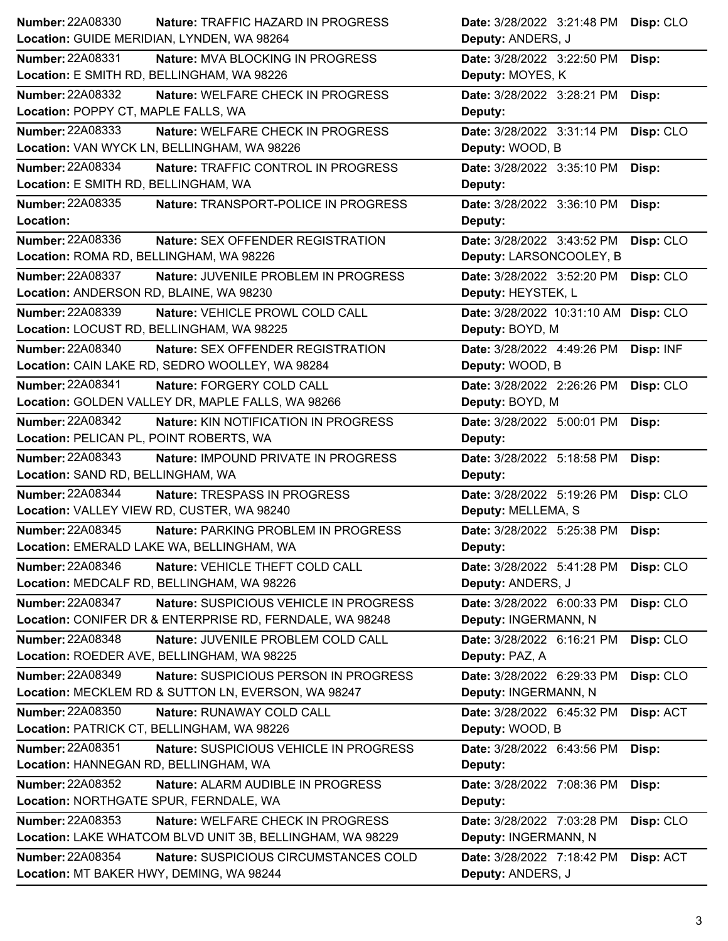| <b>Number: 22A08330</b><br><b>Nature: TRAFFIC HAZARD IN PROGRESS</b> | Date: 3/28/2022 3:21:48 PM<br>Disp: CLO |
|----------------------------------------------------------------------|-----------------------------------------|
| Location: GUIDE MERIDIAN, LYNDEN, WA 98264                           | Deputy: ANDERS, J                       |
| <b>Number: 22A08331</b><br>Nature: MVA BLOCKING IN PROGRESS          | Date: 3/28/2022 3:22:50 PM<br>Disp:     |
| Location: E SMITH RD, BELLINGHAM, WA 98226                           | Deputy: MOYES, K                        |
| Number: 22A08332<br>Nature: WELFARE CHECK IN PROGRESS                | Date: 3/28/2022 3:28:21 PM<br>Disp:     |
| Location: POPPY CT, MAPLE FALLS, WA                                  | Deputy:                                 |
| <b>Number: 22A08333</b><br>Nature: WELFARE CHECK IN PROGRESS         | Date: 3/28/2022 3:31:14 PM<br>Disp: CLO |
| Location: VAN WYCK LN, BELLINGHAM, WA 98226                          | Deputy: WOOD, B                         |
| <b>Number: 22A08334</b><br>Nature: TRAFFIC CONTROL IN PROGRESS       | Date: 3/28/2022 3:35:10 PM<br>Disp:     |
| Location: E SMITH RD, BELLINGHAM, WA                                 | Deputy:                                 |
| Number: 22A08335<br>Nature: TRANSPORT-POLICE IN PROGRESS             | Date: 3/28/2022 3:36:10 PM<br>Disp:     |
| Location:                                                            | Deputy:                                 |
| Number: 22A08336<br>Nature: SEX OFFENDER REGISTRATION                | Date: 3/28/2022 3:43:52 PM<br>Disp: CLO |
| Location: ROMA RD, BELLINGHAM, WA 98226                              | Deputy: LARSONCOOLEY, B                 |
| Number: 22A08337<br>Nature: JUVENILE PROBLEM IN PROGRESS             | Date: 3/28/2022 3:52:20 PM<br>Disp: CLO |
| Location: ANDERSON RD, BLAINE, WA 98230                              | Deputy: HEYSTEK, L                      |
| <b>Number: 22A08339</b><br>Nature: VEHICLE PROWL COLD CALL           | Date: 3/28/2022 10:31:10 AM Disp: CLO   |
| Location: LOCUST RD, BELLINGHAM, WA 98225                            | Deputy: BOYD, M                         |
| Number: 22A08340<br>Nature: SEX OFFENDER REGISTRATION                | Date: 3/28/2022 4:49:26 PM<br>Disp: INF |
| Location: CAIN LAKE RD, SEDRO WOOLLEY, WA 98284                      | Deputy: WOOD, B                         |
| <b>Number: 22A08341</b><br>Nature: FORGERY COLD CALL                 | Date: 3/28/2022 2:26:26 PM<br>Disp: CLO |
| Location: GOLDEN VALLEY DR, MAPLE FALLS, WA 98266                    | Deputy: BOYD, M                         |
| Number: 22A08342<br>Nature: KIN NOTIFICATION IN PROGRESS             | Date: 3/28/2022 5:00:01 PM<br>Disp:     |
| Location: PELICAN PL, POINT ROBERTS, WA                              | Deputy:                                 |
|                                                                      |                                         |
| <b>Number: 22A08343</b><br>Nature: IMPOUND PRIVATE IN PROGRESS       | Date: 3/28/2022 5:18:58 PM<br>Disp:     |
| Location: SAND RD, BELLINGHAM, WA                                    | Deputy:                                 |
| Number: 22A08344<br>Nature: TRESPASS IN PROGRESS                     | Date: 3/28/2022 5:19:26 PM<br>Disp: CLO |
| Location: VALLEY VIEW RD, CUSTER, WA 98240                           | Deputy: MELLEMA, S                      |
| <b>Number: 22A08345</b><br>Nature: PARKING PROBLEM IN PROGRESS       | Date: 3/28/2022 5:25:38 PM<br>Disp:     |
| Location: EMERALD LAKE WA, BELLINGHAM, WA                            | Deputy:                                 |
| <b>Number: 22A08346</b><br>Nature: VEHICLE THEFT COLD CALL           | Date: 3/28/2022 5:41:28 PM<br>Disp: CLO |
| Location: MEDCALF RD, BELLINGHAM, WA 98226                           | Deputy: ANDERS, J                       |
| Number: 22A08347<br>Nature: SUSPICIOUS VEHICLE IN PROGRESS           | Date: 3/28/2022 6:00:33 PM<br>Disp: CLO |
| Location: CONIFER DR & ENTERPRISE RD, FERNDALE, WA 98248             | Deputy: INGERMANN, N                    |
| Number: 22A08348<br>Nature: JUVENILE PROBLEM COLD CALL               | Date: 3/28/2022 6:16:21 PM<br>Disp: CLO |
| Location: ROEDER AVE, BELLINGHAM, WA 98225                           | Deputy: PAZ, A                          |
| Number: 22A08349<br>Nature: SUSPICIOUS PERSON IN PROGRESS            | Date: 3/28/2022 6:29:33 PM<br>Disp: CLO |
| Location: MECKLEM RD & SUTTON LN, EVERSON, WA 98247                  | Deputy: INGERMANN, N                    |
| Number: 22A08350<br>Nature: RUNAWAY COLD CALL                        | Date: 3/28/2022 6:45:32 PM<br>Disp: ACT |
| Location: PATRICK CT, BELLINGHAM, WA 98226                           | Deputy: WOOD, B                         |
| <b>Number: 22A08351</b><br>Nature: SUSPICIOUS VEHICLE IN PROGRESS    | Date: 3/28/2022 6:43:56 PM<br>Disp:     |
| Location: HANNEGAN RD, BELLINGHAM, WA                                | Deputy:                                 |
| Number: 22A08352<br>Nature: ALARM AUDIBLE IN PROGRESS                | Date: 3/28/2022 7:08:36 PM<br>Disp:     |
| Location: NORTHGATE SPUR, FERNDALE, WA                               | Deputy:                                 |
| <b>Number: 22A08353</b><br>Nature: WELFARE CHECK IN PROGRESS         | Date: 3/28/2022 7:03:28 PM              |
| Location: LAKE WHATCOM BLVD UNIT 3B, BELLINGHAM, WA 98229            | Disp: CLO<br>Deputy: INGERMANN, N       |
| <b>Number: 22A08354</b><br>Nature: SUSPICIOUS CIRCUMSTANCES COLD     | Date: 3/28/2022 7:18:42 PM<br>Disp: ACT |